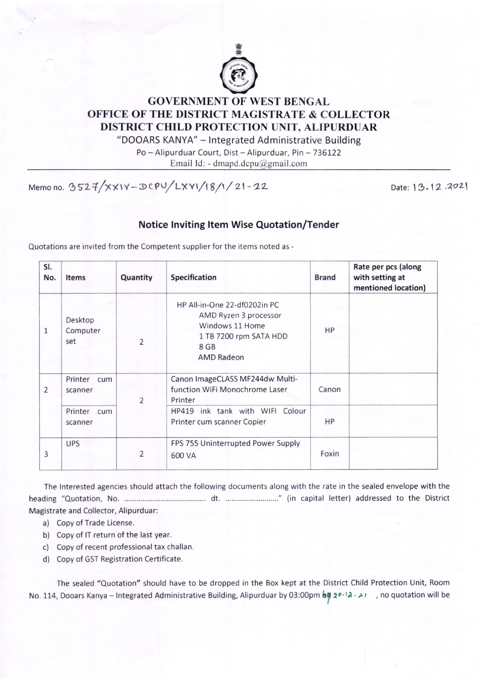

## GOVERNMENT OF WEST BENGAL OFFICE OF THE DISTRICT MAGISTRATE & COLLECTOR DISTRICT CHILD PROTECTION UNIT, ALIPURDUAR

"DOOARS KANYA" - lntegrated Administrative Building Po - Alipurduar Court, Dist - Alipurduar, Pin - 736122

Ernail ld: - dmapd.dcpu@gmail.com

Memo no. 3527/xx1V-DCPU/LXY1/18/1/21-22 Date: 13.12.2021

## Notice Inviting ltem Wise Quotation/Tender

Quotations are invited from the Competent supplier for the items noted as -

| SI.<br>No.   | <b>Items</b>               | Quantity                | Specification                                                                                                                   | <b>Brand</b> | Rate per pcs (along<br>with setting at<br>mentioned location) |
|--------------|----------------------------|-------------------------|---------------------------------------------------------------------------------------------------------------------------------|--------------|---------------------------------------------------------------|
| $\mathbf{1}$ | Desktop<br>Computer<br>set | $\overline{\mathbf{c}}$ | HP All-in-One 22-df0202in PC<br>AMD Ryzen 3 processor<br>Windows 11 Home<br>1 TB 7200 rpm SATA HDD<br>8 GB<br><b>AMD Radeon</b> | HP           |                                                               |
| 2            | Printer cum<br>scanner     | $\overline{2}$          | Canon ImageCLASS MF244dw Multi-<br>function WiFi Monochrome Laser<br>Printer                                                    | Canon        |                                                               |
|              | Printer cum<br>scanner     |                         | HP419 ink tank with WIFI Colour<br>Printer cum scanner Copier                                                                   | HP           |                                                               |
| 3            | <b>UPS</b>                 | $\overline{2}$          | FPS 755 Uninterrupted Power Supply<br>600 VA                                                                                    | Foxin        |                                                               |

The lnterested agencies should attach the following documents along with the rate in the sealed envelope with the heading "Quotation, No dt " (in capital letter) addressed to the District Magistrate and Collector, Alipurduar:

- a) Copy of Trade License.
- b) Copy of lT return of the last year.
- c) Copy of recent professional tax challan.
- d) Copy of GST Registration Certificate.

The sealed "Quotation" should have to be dropped in the Box kept at the District Child Protection Unit, Room No. 114, Dooars Kanya – Integrated Administrative Building, Alipurduar by 03:00pm bi 20.12. Ino quotation will be